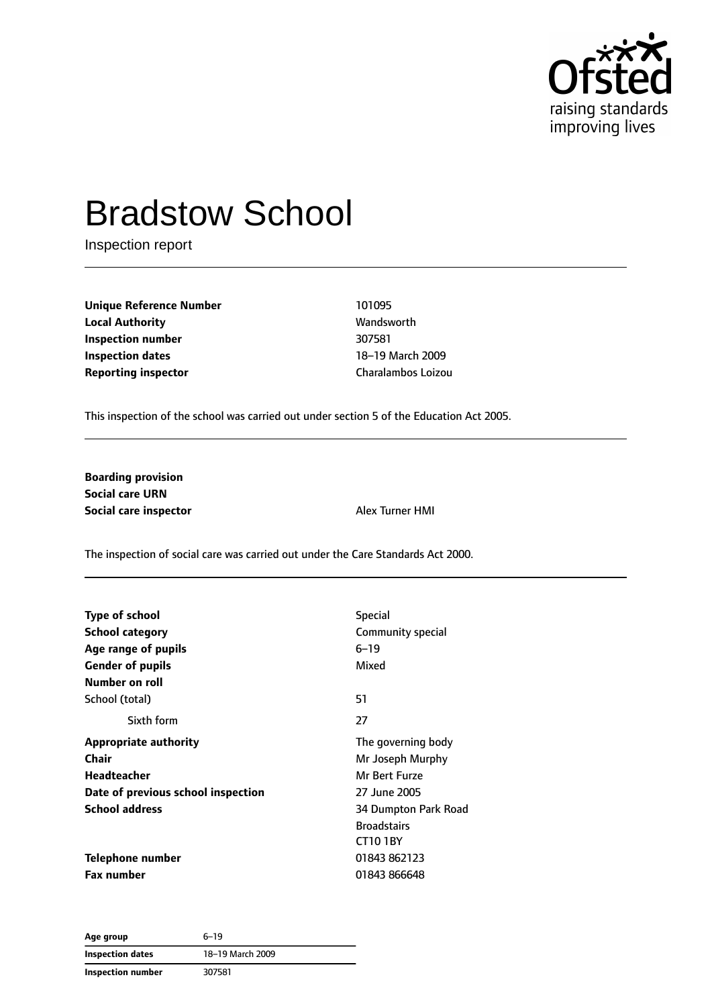

# Bradstow School

Inspection report

**Unique Reference Number** 101095 **Local Authority Wandsworth Inspection number** 307581 **Inspection dates** 18–19 March 2009 **Reporting inspector** Charalambos Loizou

This inspection of the school was carried out under section 5 of the Education Act 2005.

**Boarding provision Social care URN Social care inspector** Alex Turner HMI

The inspection of social care was carried out under the Care Standards Act 2000.

| <b>Type of school</b>              | <b>Special</b>       |  |
|------------------------------------|----------------------|--|
| <b>School category</b>             | Community special    |  |
| Age range of pupils                | $6 - 19$             |  |
| <b>Gender of pupils</b>            | Mixed                |  |
| <b>Number on roll</b>              |                      |  |
| School (total)                     | 51                   |  |
| Sixth form                         | 27                   |  |
| <b>Appropriate authority</b>       | The governing body   |  |
| Chair                              | Mr Joseph Murphy     |  |
| Headteacher                        | Mr Bert Furze        |  |
| Date of previous school inspection | 27 June 2005         |  |
| <b>School address</b>              | 34 Dumpton Park Road |  |
|                                    | <b>Broadstairs</b>   |  |
|                                    | <b>CT10 1BY</b>      |  |
| Telephone number                   | 01843 862123         |  |
| Fax number                         | 01843 866648         |  |

**Age group** 6–19 **Inspection dates** 18–19 March 2009 **Inspection number** 307581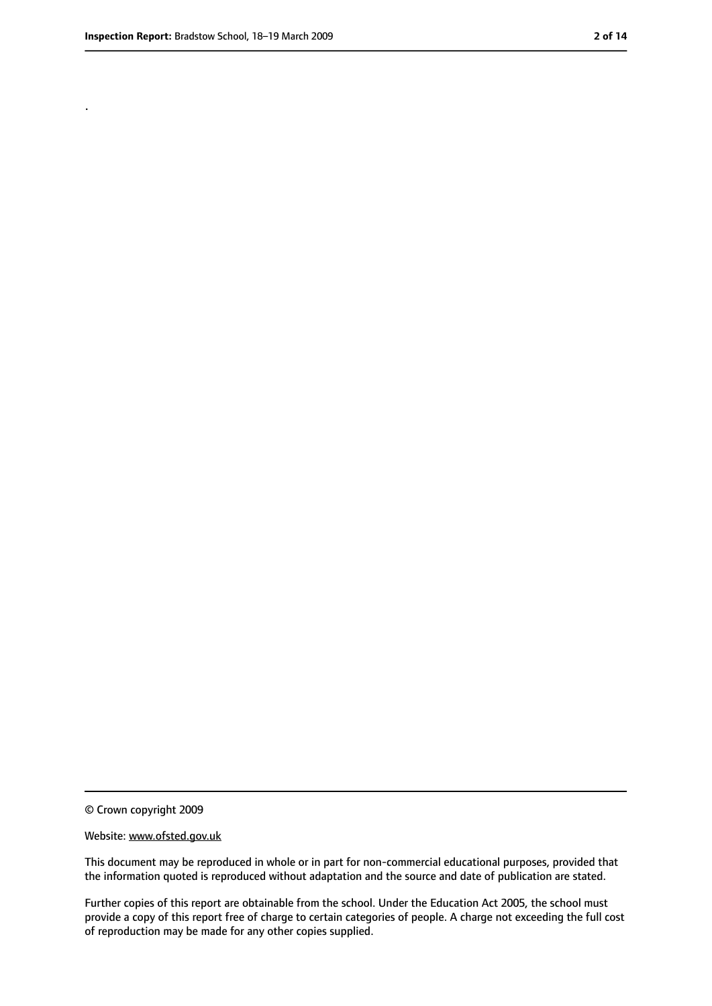.

<sup>©</sup> Crown copyright 2009

Website: www.ofsted.gov.uk

This document may be reproduced in whole or in part for non-commercial educational purposes, provided that the information quoted is reproduced without adaptation and the source and date of publication are stated.

Further copies of this report are obtainable from the school. Under the Education Act 2005, the school must provide a copy of this report free of charge to certain categories of people. A charge not exceeding the full cost of reproduction may be made for any other copies supplied.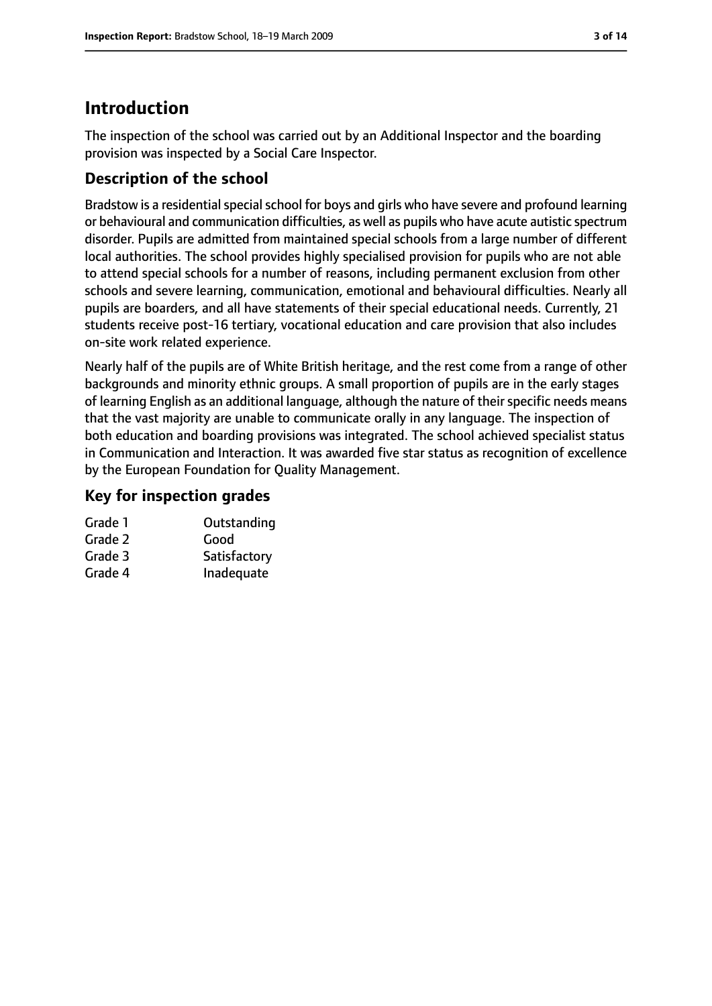# **Introduction**

The inspection of the school was carried out by an Additional Inspector and the boarding provision was inspected by a Social Care Inspector.

# **Description of the school**

Bradstow is a residential special school for boys and girls who have severe and profound learning or behavioural and communication difficulties, as well as pupils who have acute autistic spectrum disorder. Pupils are admitted from maintained special schools from a large number of different local authorities. The school provides highly specialised provision for pupils who are not able to attend special schools for a number of reasons, including permanent exclusion from other schools and severe learning, communication, emotional and behavioural difficulties. Nearly all pupils are boarders, and all have statements of their special educational needs. Currently, 21 students receive post-16 tertiary, vocational education and care provision that also includes on-site work related experience.

Nearly half of the pupils are of White British heritage, and the rest come from a range of other backgrounds and minority ethnic groups. A small proportion of pupils are in the early stages of learning English as an additional language, although the nature of their specific needs means that the vast majority are unable to communicate orally in any language. The inspection of both education and boarding provisions was integrated. The school achieved specialist status in Communication and Interaction. It was awarded five star status as recognition of excellence by the European Foundation for Quality Management.

#### **Key for inspection grades**

| Grade 1 | Outstanding  |
|---------|--------------|
| Grade 2 | Good         |
| Grade 3 | Satisfactory |
| Grade 4 | Inadequate   |
|         |              |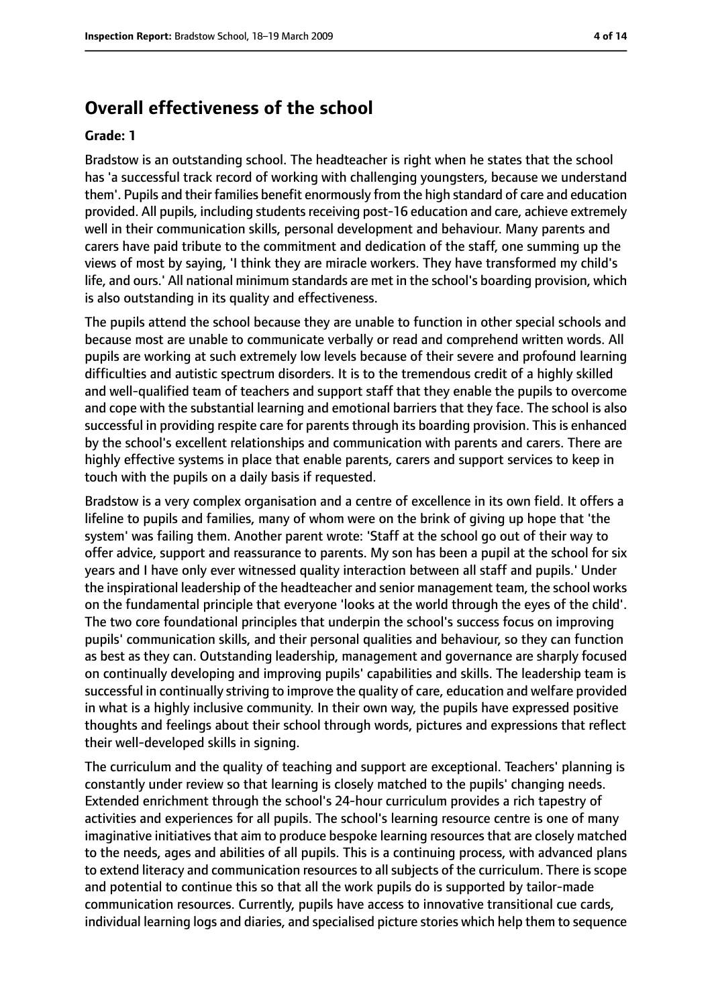# **Overall effectiveness of the school**

#### **Grade: 1**

Bradstow is an outstanding school. The headteacher is right when he states that the school has 'a successful track record of working with challenging youngsters, because we understand them'. Pupils and their families benefit enormously from the high standard of care and education provided. All pupils, including students receiving post-16 education and care, achieve extremely well in their communication skills, personal development and behaviour. Many parents and carers have paid tribute to the commitment and dedication of the staff, one summing up the views of most by saying, 'I think they are miracle workers. They have transformed my child's life, and ours.' All national minimum standards are met in the school's boarding provision, which is also outstanding in its quality and effectiveness.

The pupils attend the school because they are unable to function in other special schools and because most are unable to communicate verbally or read and comprehend written words. All pupils are working at such extremely low levels because of their severe and profound learning difficulties and autistic spectrum disorders. It is to the tremendous credit of a highly skilled and well-qualified team of teachers and support staff that they enable the pupils to overcome and cope with the substantial learning and emotional barriers that they face. The school is also successful in providing respite care for parents through its boarding provision. This is enhanced by the school's excellent relationships and communication with parents and carers. There are highly effective systems in place that enable parents, carers and support services to keep in touch with the pupils on a daily basis if requested.

Bradstow is a very complex organisation and a centre of excellence in its own field. It offers a lifeline to pupils and families, many of whom were on the brink of giving up hope that 'the system' was failing them. Another parent wrote: 'Staff at the school go out of their way to offer advice, support and reassurance to parents. My son has been a pupil at the school for six years and I have only ever witnessed quality interaction between all staff and pupils.' Under the inspirational leadership of the headteacher and senior management team, the school works on the fundamental principle that everyone 'looks at the world through the eyes of the child'. The two core foundational principles that underpin the school's success focus on improving pupils' communication skills, and their personal qualities and behaviour, so they can function as best as they can. Outstanding leadership, management and governance are sharply focused on continually developing and improving pupils' capabilities and skills. The leadership team is successful in continually striving to improve the quality of care, education and welfare provided in what is a highly inclusive community. In their own way, the pupils have expressed positive thoughts and feelings about their school through words, pictures and expressions that reflect their well-developed skills in signing.

The curriculum and the quality of teaching and support are exceptional. Teachers' planning is constantly under review so that learning is closely matched to the pupils' changing needs. Extended enrichment through the school's 24-hour curriculum provides a rich tapestry of activities and experiences for all pupils. The school's learning resource centre is one of many imaginative initiatives that aim to produce bespoke learning resources that are closely matched to the needs, ages and abilities of all pupils. This is a continuing process, with advanced plans to extend literacy and communication resources to all subjects of the curriculum. There is scope and potential to continue this so that all the work pupils do is supported by tailor-made communication resources. Currently, pupils have access to innovative transitional cue cards, individual learning logs and diaries, and specialised picture stories which help them to sequence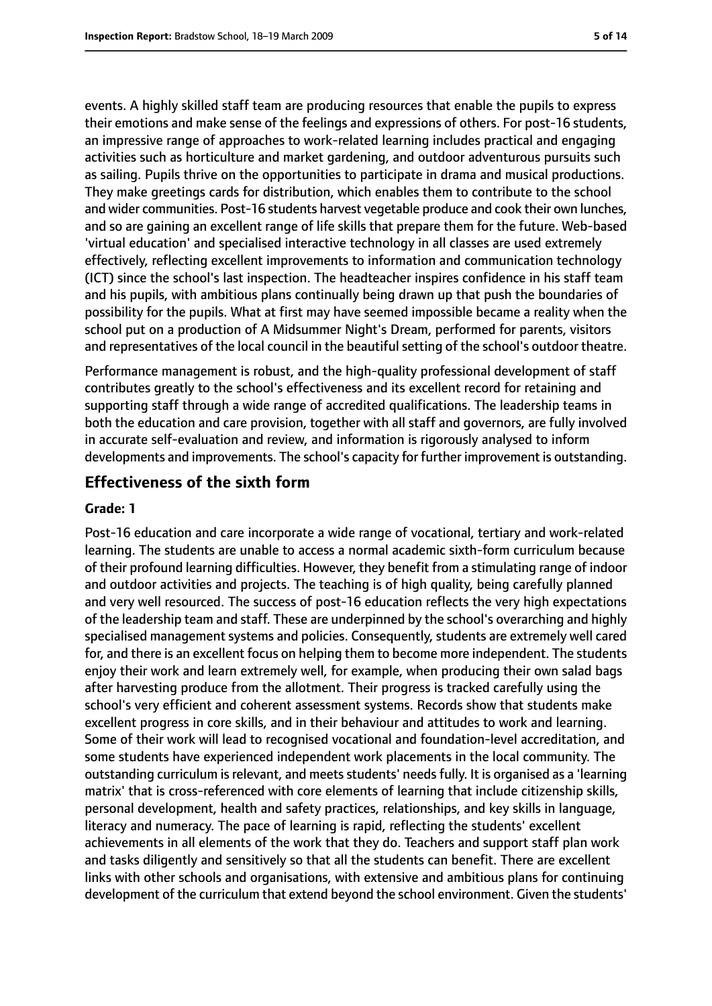events. A highly skilled staff team are producing resources that enable the pupils to express their emotions and make sense of the feelings and expressions of others. For post-16 students, an impressive range of approaches to work-related learning includes practical and engaging activities such as horticulture and market gardening, and outdoor adventurous pursuits such as sailing. Pupils thrive on the opportunities to participate in drama and musical productions. They make greetings cards for distribution, which enables them to contribute to the school and wider communities. Post-16 students harvest vegetable produce and cook their own lunches, and so are gaining an excellent range of life skills that prepare them for the future. Web-based 'virtual education' and specialised interactive technology in all classes are used extremely effectively, reflecting excellent improvements to information and communication technology (ICT) since the school's last inspection. The headteacher inspires confidence in his staff team and his pupils, with ambitious plans continually being drawn up that push the boundaries of possibility for the pupils. What at first may have seemed impossible became a reality when the school put on a production of A Midsummer Night's Dream, performed for parents, visitors and representatives of the local council in the beautiful setting of the school's outdoor theatre.

Performance management is robust, and the high-quality professional development of staff contributes greatly to the school's effectiveness and its excellent record for retaining and supporting staff through a wide range of accredited qualifications. The leadership teams in both the education and care provision, together with all staff and governors, are fully involved in accurate self-evaluation and review, and information is rigorously analysed to inform developments and improvements. The school's capacity for further improvement is outstanding.

# **Effectiveness of the sixth form**

#### **Grade: 1**

Post-16 education and care incorporate a wide range of vocational, tertiary and work-related learning. The students are unable to access a normal academic sixth-form curriculum because of their profound learning difficulties. However, they benefit from a stimulating range of indoor and outdoor activities and projects. The teaching is of high quality, being carefully planned and very well resourced. The success of post-16 education reflects the very high expectations of the leadership team and staff. These are underpinned by the school's overarching and highly specialised management systems and policies. Consequently, students are extremely well cared for, and there is an excellent focus on helping them to become more independent. The students enjoy their work and learn extremely well, for example, when producing their own salad bags after harvesting produce from the allotment. Their progress is tracked carefully using the school's very efficient and coherent assessment systems. Records show that students make excellent progress in core skills, and in their behaviour and attitudes to work and learning. Some of their work will lead to recognised vocational and foundation-level accreditation, and some students have experienced independent work placements in the local community. The outstanding curriculum is relevant, and meets students' needs fully. It is organised as a 'learning matrix' that is cross-referenced with core elements of learning that include citizenship skills, personal development, health and safety practices, relationships, and key skills in language, literacy and numeracy. The pace of learning is rapid, reflecting the students' excellent achievements in all elements of the work that they do. Teachers and support staff plan work and tasks diligently and sensitively so that all the students can benefit. There are excellent links with other schools and organisations, with extensive and ambitious plans for continuing development of the curriculum that extend beyond the school environment. Given the students'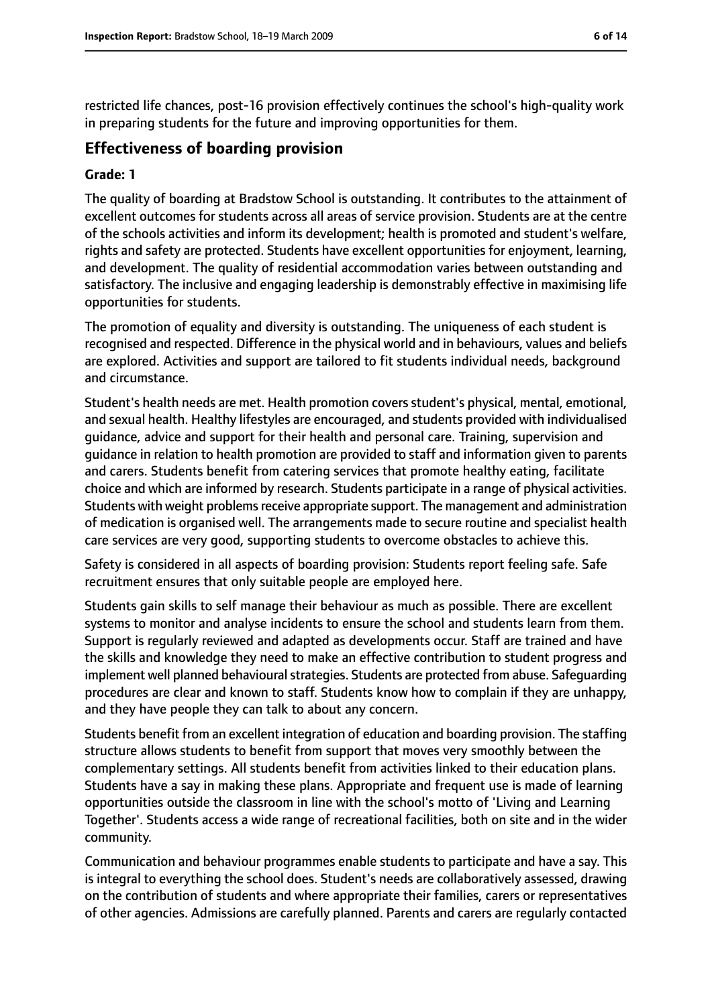restricted life chances, post-16 provision effectively continues the school's high-quality work in preparing students for the future and improving opportunities for them.

#### **Effectiveness of boarding provision**

#### **Grade: 1**

The quality of boarding at Bradstow School is outstanding. It contributes to the attainment of excellent outcomes for students across all areas of service provision. Students are at the centre of the schools activities and inform its development; health is promoted and student's welfare, rights and safety are protected. Students have excellent opportunities for enjoyment, learning, and development. The quality of residential accommodation varies between outstanding and satisfactory. The inclusive and engaging leadership is demonstrably effective in maximising life opportunities for students.

The promotion of equality and diversity is outstanding. The uniqueness of each student is recognised and respected. Difference in the physical world and in behaviours, values and beliefs are explored. Activities and support are tailored to fit students individual needs, background and circumstance.

Student's health needs are met. Health promotion covers student's physical, mental, emotional, and sexual health. Healthy lifestyles are encouraged, and students provided with individualised guidance, advice and support for their health and personal care. Training, supervision and guidance in relation to health promotion are provided to staff and information given to parents and carers. Students benefit from catering services that promote healthy eating, facilitate choice and which are informed by research. Students participate in a range of physical activities. Students with weight problems receive appropriate support. The management and administration of medication is organised well. The arrangements made to secure routine and specialist health care services are very good, supporting students to overcome obstacles to achieve this.

Safety is considered in all aspects of boarding provision: Students report feeling safe. Safe recruitment ensures that only suitable people are employed here.

Students gain skills to self manage their behaviour as much as possible. There are excellent systems to monitor and analyse incidents to ensure the school and students learn from them. Support is regularly reviewed and adapted as developments occur. Staff are trained and have the skills and knowledge they need to make an effective contribution to student progress and implement well planned behavioural strategies. Students are protected from abuse. Safeguarding procedures are clear and known to staff. Students know how to complain if they are unhappy, and they have people they can talk to about any concern.

Students benefit from an excellent integration of education and boarding provision. The staffing structure allows students to benefit from support that moves very smoothly between the complementary settings. All students benefit from activities linked to their education plans. Students have a say in making these plans. Appropriate and frequent use is made of learning opportunities outside the classroom in line with the school's motto of 'Living and Learning Together'. Students access a wide range of recreational facilities, both on site and in the wider community.

Communication and behaviour programmes enable students to participate and have a say. This is integral to everything the school does. Student's needs are collaboratively assessed, drawing on the contribution of students and where appropriate their families, carers or representatives of other agencies. Admissions are carefully planned. Parents and carers are regularly contacted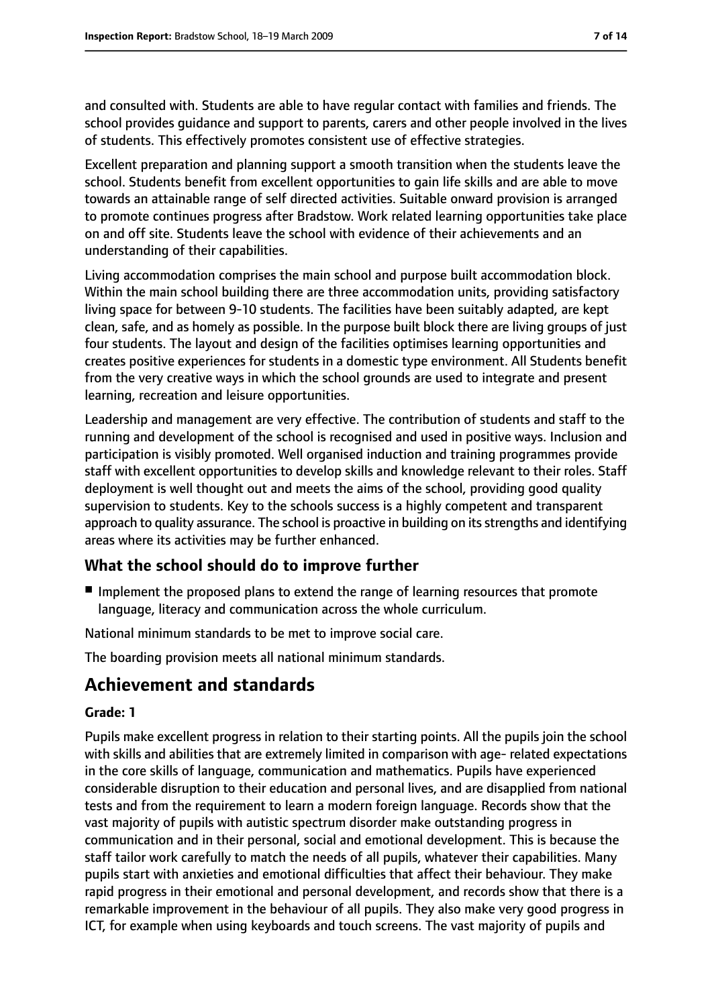and consulted with. Students are able to have regular contact with families and friends. The school provides guidance and support to parents, carers and other people involved in the lives of students. This effectively promotes consistent use of effective strategies.

Excellent preparation and planning support a smooth transition when the students leave the school. Students benefit from excellent opportunities to gain life skills and are able to move towards an attainable range of self directed activities. Suitable onward provision is arranged to promote continues progress after Bradstow. Work related learning opportunities take place on and off site. Students leave the school with evidence of their achievements and an understanding of their capabilities.

Living accommodation comprises the main school and purpose built accommodation block. Within the main school building there are three accommodation units, providing satisfactory living space for between 9-10 students. The facilities have been suitably adapted, are kept clean, safe, and as homely as possible. In the purpose built block there are living groups of just four students. The layout and design of the facilities optimises learning opportunities and creates positive experiences for students in a domestic type environment. All Students benefit from the very creative ways in which the school grounds are used to integrate and present learning, recreation and leisure opportunities.

Leadership and management are very effective. The contribution of students and staff to the running and development of the school is recognised and used in positive ways. Inclusion and participation is visibly promoted. Well organised induction and training programmes provide staff with excellent opportunities to develop skills and knowledge relevant to their roles. Staff deployment is well thought out and meets the aims of the school, providing good quality supervision to students. Key to the schools success is a highly competent and transparent approach to quality assurance. The school is proactive in building on its strengths and identifying areas where its activities may be further enhanced.

### **What the school should do to improve further**

■ Implement the proposed plans to extend the range of learning resources that promote language, literacy and communication across the whole curriculum.

National minimum standards to be met to improve social care.

The boarding provision meets all national minimum standards.

# **Achievement and standards**

#### **Grade: 1**

Pupils make excellent progress in relation to their starting points. All the pupils join the school with skills and abilities that are extremely limited in comparison with age- related expectations in the core skills of language, communication and mathematics. Pupils have experienced considerable disruption to their education and personal lives, and are disapplied from national tests and from the requirement to learn a modern foreign language. Records show that the vast majority of pupils with autistic spectrum disorder make outstanding progress in communication and in their personal, social and emotional development. This is because the staff tailor work carefully to match the needs of all pupils, whatever their capabilities. Many pupils start with anxieties and emotional difficulties that affect their behaviour. They make rapid progress in their emotional and personal development, and records show that there is a remarkable improvement in the behaviour of all pupils. They also make very good progress in ICT, for example when using keyboards and touch screens. The vast majority of pupils and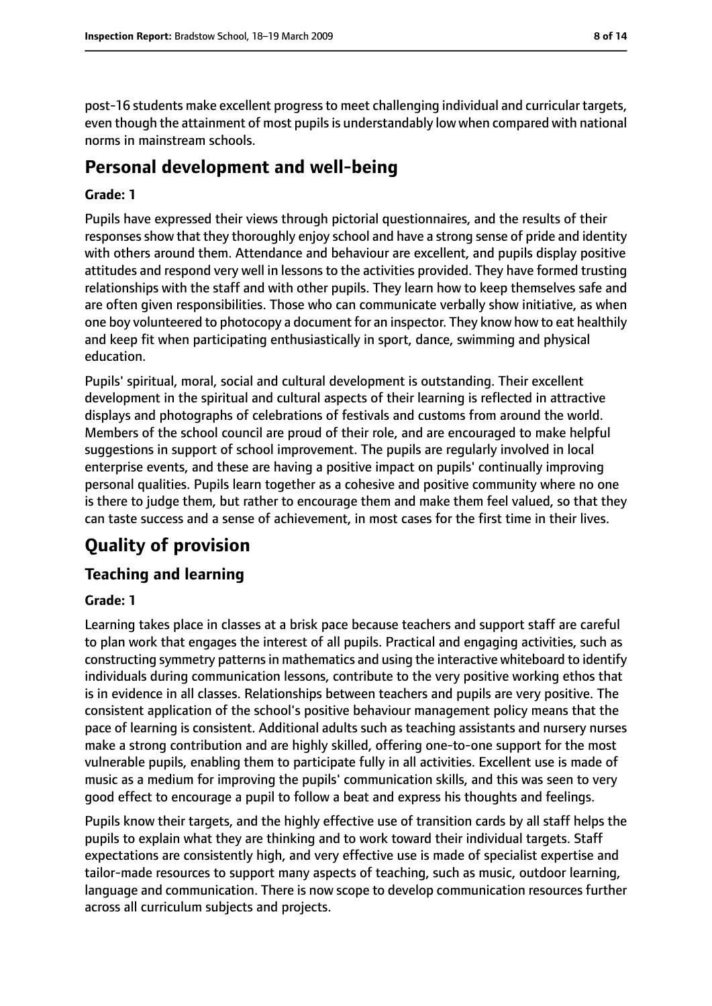post-16 students make excellent progressto meet challenging individual and curricular targets, even though the attainment of most pupils is understandably low when compared with national norms in mainstream schools.

# **Personal development and well-being**

#### **Grade: 1**

Pupils have expressed their views through pictorial questionnaires, and the results of their responses show that they thoroughly enjoy school and have a strong sense of pride and identity with others around them. Attendance and behaviour are excellent, and pupils display positive attitudes and respond very well in lessons to the activities provided. They have formed trusting relationships with the staff and with other pupils. They learn how to keep themselves safe and are often given responsibilities. Those who can communicate verbally show initiative, as when one boy volunteered to photocopy a document for an inspector. They know how to eat healthily and keep fit when participating enthusiastically in sport, dance, swimming and physical education.

Pupils' spiritual, moral, social and cultural development is outstanding. Their excellent development in the spiritual and cultural aspects of their learning is reflected in attractive displays and photographs of celebrations of festivals and customs from around the world. Members of the school council are proud of their role, and are encouraged to make helpful suggestions in support of school improvement. The pupils are regularly involved in local enterprise events, and these are having a positive impact on pupils' continually improving personal qualities. Pupils learn together as a cohesive and positive community where no one is there to judge them, but rather to encourage them and make them feel valued, so that they can taste success and a sense of achievement, in most cases for the first time in their lives.

# **Quality of provision**

### **Teaching and learning**

#### **Grade: 1**

Learning takes place in classes at a brisk pace because teachers and support staff are careful to plan work that engages the interest of all pupils. Practical and engaging activities, such as constructing symmetry patterns in mathematics and using the interactive whiteboard to identify individuals during communication lessons, contribute to the very positive working ethos that is in evidence in all classes. Relationships between teachers and pupils are very positive. The consistent application of the school's positive behaviour management policy means that the pace of learning is consistent. Additional adults such as teaching assistants and nursery nurses make a strong contribution and are highly skilled, offering one-to-one support for the most vulnerable pupils, enabling them to participate fully in all activities. Excellent use is made of music as a medium for improving the pupils' communication skills, and this was seen to very good effect to encourage a pupil to follow a beat and express his thoughts and feelings.

Pupils know their targets, and the highly effective use of transition cards by all staff helps the pupils to explain what they are thinking and to work toward their individual targets. Staff expectations are consistently high, and very effective use is made of specialist expertise and tailor-made resources to support many aspects of teaching, such as music, outdoor learning, language and communication. There is now scope to develop communication resources further across all curriculum subjects and projects.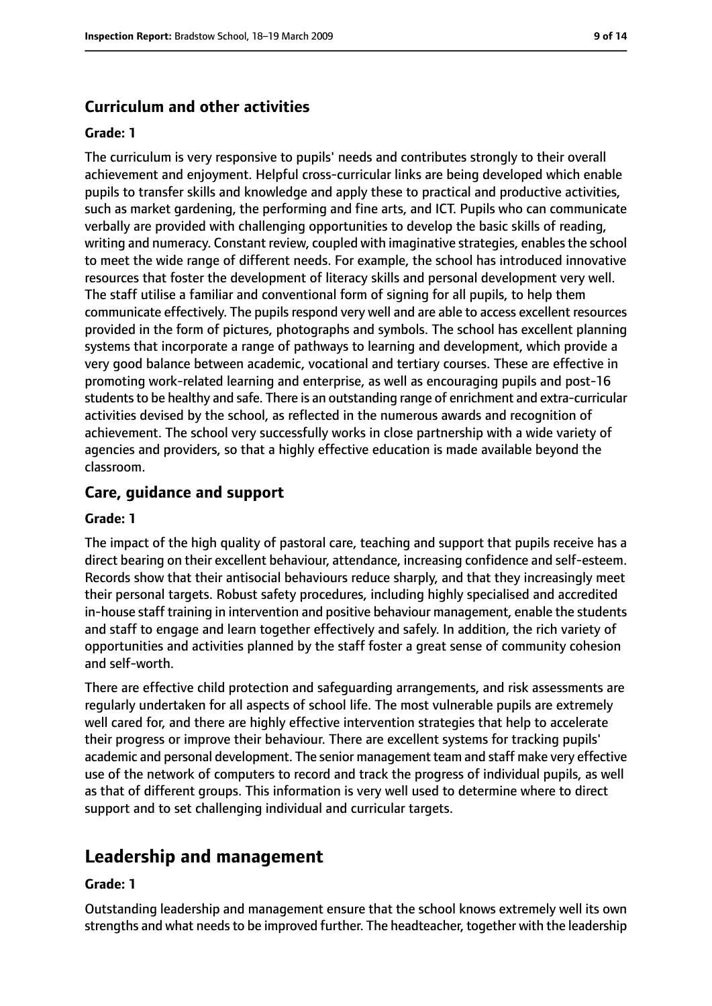#### **Curriculum and other activities**

#### **Grade: 1**

The curriculum is very responsive to pupils' needs and contributes strongly to their overall achievement and enjoyment. Helpful cross-curricular links are being developed which enable pupils to transfer skills and knowledge and apply these to practical and productive activities, such as market gardening, the performing and fine arts, and ICT. Pupils who can communicate verbally are provided with challenging opportunities to develop the basic skills of reading, writing and numeracy. Constant review, coupled with imaginative strategies, enablesthe school to meet the wide range of different needs. For example, the school has introduced innovative resources that foster the development of literacy skills and personal development very well. The staff utilise a familiar and conventional form of signing for all pupils, to help them communicate effectively. The pupils respond very well and are able to access excellent resources provided in the form of pictures, photographs and symbols. The school has excellent planning systems that incorporate a range of pathways to learning and development, which provide a very good balance between academic, vocational and tertiary courses. These are effective in promoting work-related learning and enterprise, as well as encouraging pupils and post-16 students to be healthy and safe. There is an outstanding range of enrichment and extra-curricular activities devised by the school, as reflected in the numerous awards and recognition of achievement. The school very successfully works in close partnership with a wide variety of agencies and providers, so that a highly effective education is made available beyond the classroom.

#### **Care, guidance and support**

#### **Grade: 1**

The impact of the high quality of pastoral care, teaching and support that pupils receive has a direct bearing on their excellent behaviour, attendance, increasing confidence and self-esteem. Records show that their antisocial behaviours reduce sharply, and that they increasingly meet their personal targets. Robust safety procedures, including highly specialised and accredited in-house staff training in intervention and positive behaviour management, enable the students and staff to engage and learn together effectively and safely. In addition, the rich variety of opportunities and activities planned by the staff foster a great sense of community cohesion and self-worth.

There are effective child protection and safeguarding arrangements, and risk assessments are regularly undertaken for all aspects of school life. The most vulnerable pupils are extremely well cared for, and there are highly effective intervention strategies that help to accelerate their progress or improve their behaviour. There are excellent systems for tracking pupils' academic and personal development. The senior management team and staff make very effective use of the network of computers to record and track the progress of individual pupils, as well as that of different groups. This information is very well used to determine where to direct support and to set challenging individual and curricular targets.

# **Leadership and management**

#### **Grade: 1**

Outstanding leadership and management ensure that the school knows extremely well its own strengths and what needs to be improved further. The headteacher, together with the leadership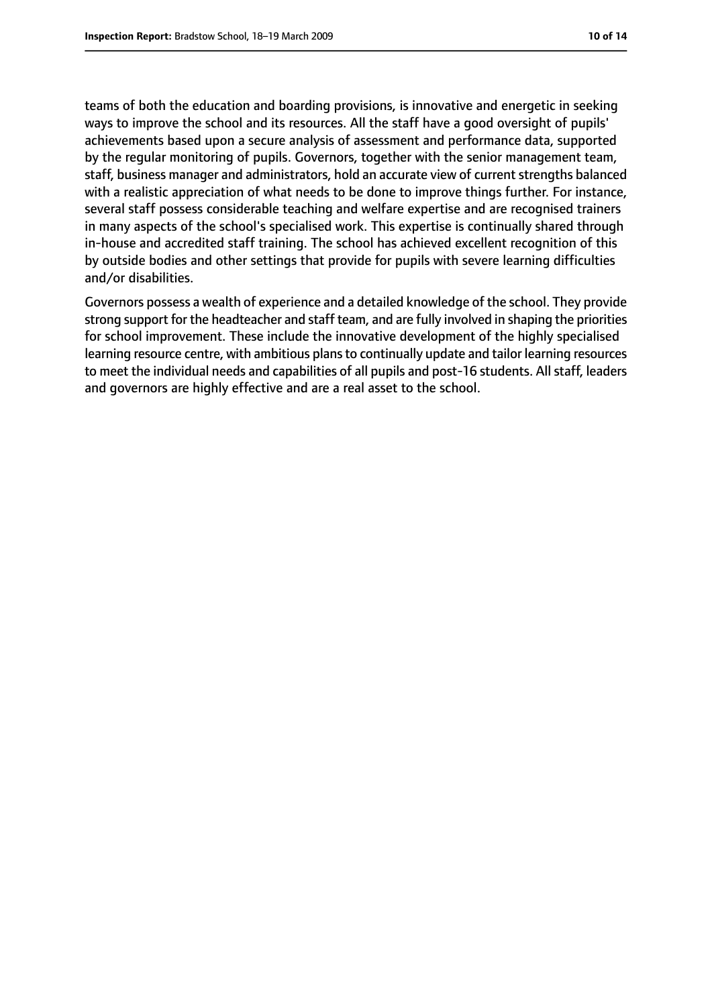teams of both the education and boarding provisions, is innovative and energetic in seeking ways to improve the school and its resources. All the staff have a good oversight of pupils' achievements based upon a secure analysis of assessment and performance data, supported by the regular monitoring of pupils. Governors, together with the senior management team, staff, business manager and administrators, hold an accurate view of current strengths balanced with a realistic appreciation of what needs to be done to improve things further. For instance, several staff possess considerable teaching and welfare expertise and are recognised trainers in many aspects of the school's specialised work. This expertise is continually shared through in-house and accredited staff training. The school has achieved excellent recognition of this by outside bodies and other settings that provide for pupils with severe learning difficulties and/or disabilities.

Governors possess a wealth of experience and a detailed knowledge of the school. They provide strong support for the headteacher and staff team, and are fully involved in shaping the priorities for school improvement. These include the innovative development of the highly specialised learning resource centre, with ambitious plans to continually update and tailor learning resources to meet the individual needs and capabilities of all pupils and post-16 students. All staff, leaders and governors are highly effective and are a real asset to the school.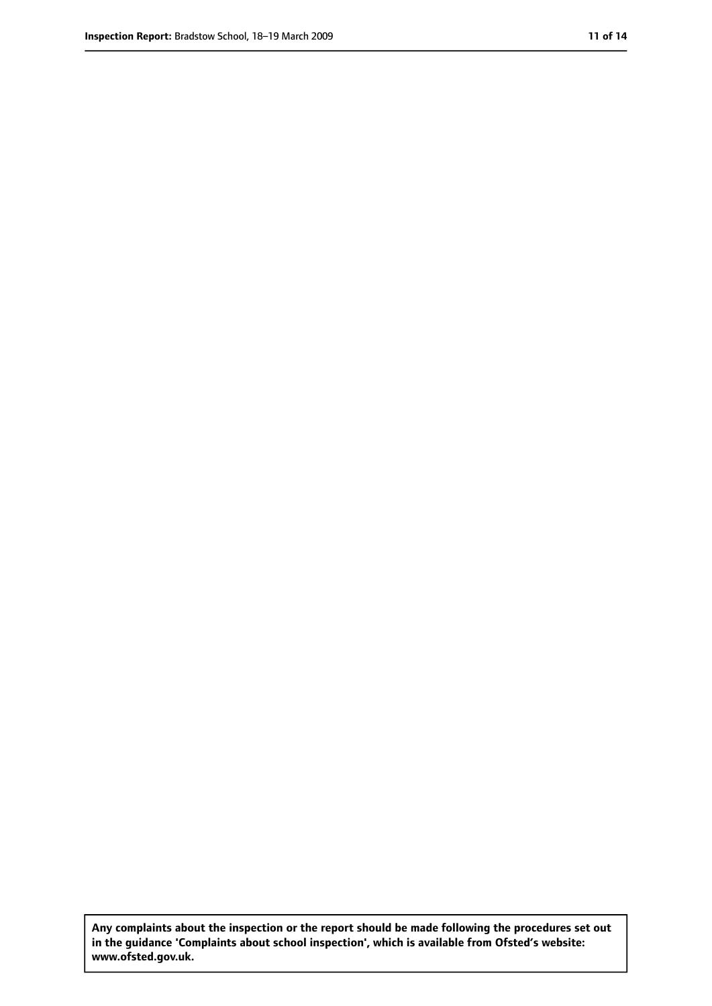**Any complaints about the inspection or the report should be made following the procedures set out in the guidance 'Complaints about school inspection', which is available from Ofsted's website: www.ofsted.gov.uk.**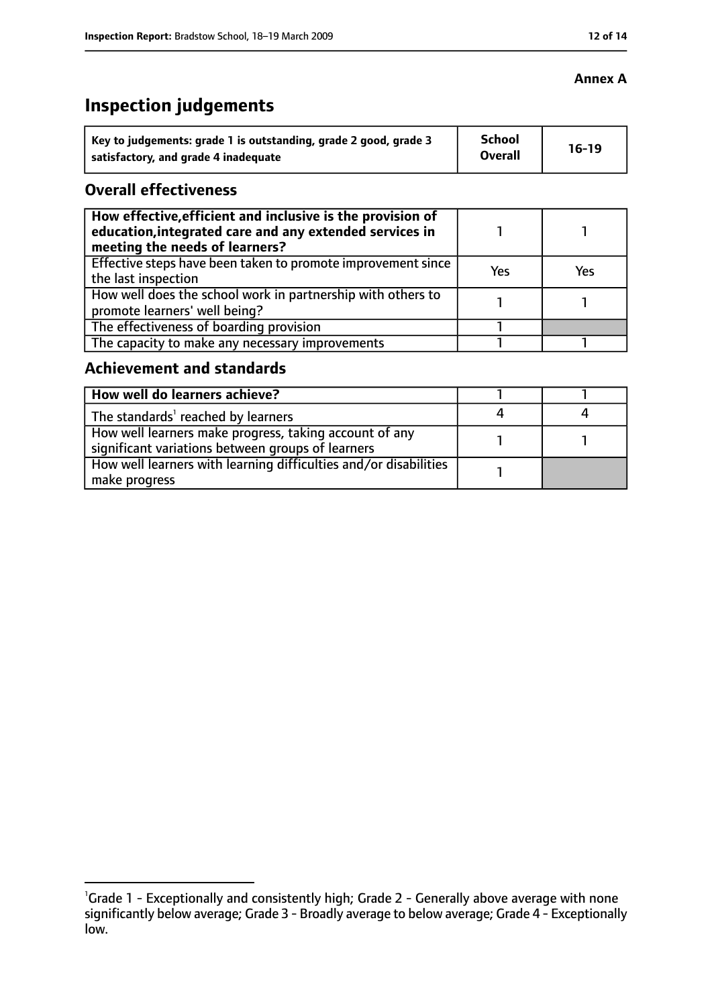# **Inspection judgements**

| Key to judgements: grade 1 is outstanding, grade 2 good, grade 3 | <b>School</b><br><b>Overall</b> | $16-19$ |
|------------------------------------------------------------------|---------------------------------|---------|
| satisfactory, and grade 4 inadequate                             |                                 |         |

#### **Overall effectiveness**

| How effective, efficient and inclusive is the provision of<br>education, integrated care and any extended services in<br>meeting the needs of learners? |     |     |
|---------------------------------------------------------------------------------------------------------------------------------------------------------|-----|-----|
| Effective steps have been taken to promote improvement since<br>the last inspection                                                                     | Yes | Yes |
| How well does the school work in partnership with others to<br>promote learners' well being?                                                            |     |     |
| The effectiveness of boarding provision                                                                                                                 |     |     |
| The capacity to make any necessary improvements                                                                                                         |     |     |

#### **Achievement and standards**

| How well do learners achieve?                                                                               |  |
|-------------------------------------------------------------------------------------------------------------|--|
| The standards <sup>1</sup> reached by learners                                                              |  |
| How well learners make progress, taking account of any<br>significant variations between groups of learners |  |
| How well learners with learning difficulties and/or disabilities<br>make progress                           |  |

#### **Annex A**

<sup>&</sup>lt;sup>1</sup>Grade 1 - Exceptionally and consistently high; Grade 2 - Generally above average with none significantly below average; Grade 3 - Broadly average to below average; Grade 4 - Exceptionally low.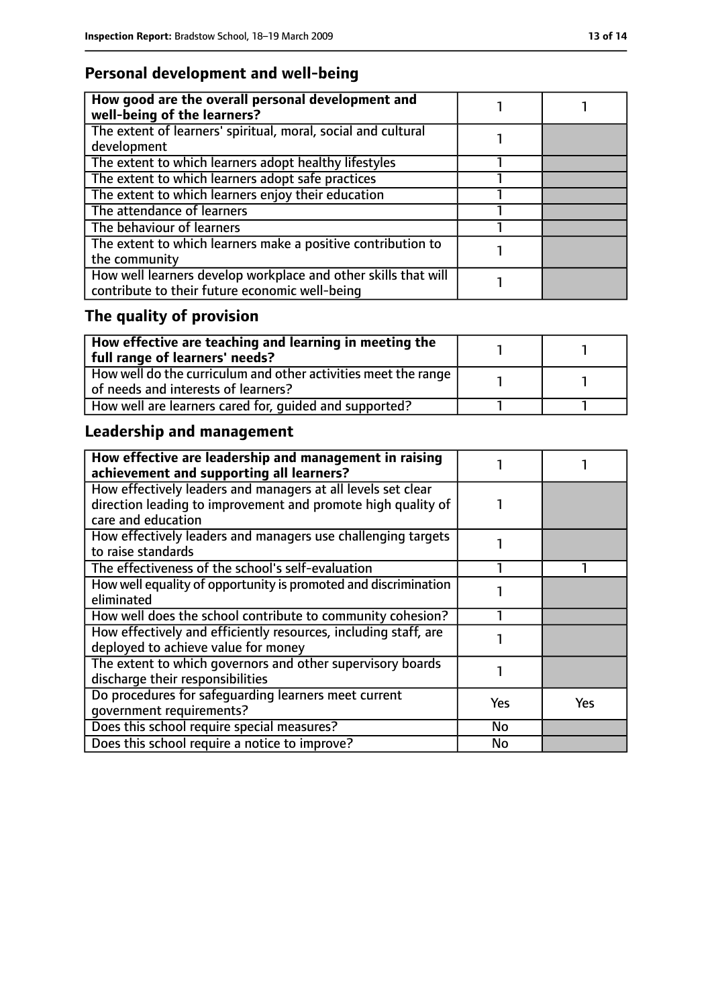# **Personal development and well-being**

| How good are the overall personal development and<br>well-being of the learners? |  |
|----------------------------------------------------------------------------------|--|
| The extent of learners' spiritual, moral, social and cultural                    |  |
| development                                                                      |  |
| The extent to which learners adopt healthy lifestyles                            |  |
| The extent to which learners adopt safe practices                                |  |
| The extent to which learners enjoy their education                               |  |
| The attendance of learners                                                       |  |
| The behaviour of learners                                                        |  |
| The extent to which learners make a positive contribution to                     |  |
| the community                                                                    |  |
| How well learners develop workplace and other skills that will                   |  |
| contribute to their future economic well-being                                   |  |

# **The quality of provision**

| How effective are teaching and learning in meeting the<br>full range of learners' needs?                |  |
|---------------------------------------------------------------------------------------------------------|--|
| How well do the curriculum and other activities meet the range  <br>of needs and interests of learners? |  |
| How well are learners cared for, quided and supported?                                                  |  |

# **Leadership and management**

| How effective are leadership and management in raising<br>achievement and supporting all learners?                                                 |            |     |
|----------------------------------------------------------------------------------------------------------------------------------------------------|------------|-----|
| How effectively leaders and managers at all levels set clear<br>direction leading to improvement and promote high quality of<br>care and education |            |     |
| How effectively leaders and managers use challenging targets<br>to raise standards                                                                 |            |     |
| The effectiveness of the school's self-evaluation                                                                                                  |            |     |
| How well equality of opportunity is promoted and discrimination<br>eliminated                                                                      |            |     |
| How well does the school contribute to community cohesion?                                                                                         |            |     |
| How effectively and efficiently resources, including staff, are<br>deployed to achieve value for money                                             |            |     |
| The extent to which governors and other supervisory boards<br>discharge their responsibilities                                                     |            |     |
| Do procedures for safequarding learners meet current<br>qovernment requirements?                                                                   | <b>Yes</b> | Yes |
| Does this school require special measures?                                                                                                         | <b>No</b>  |     |
| Does this school require a notice to improve?                                                                                                      | No         |     |